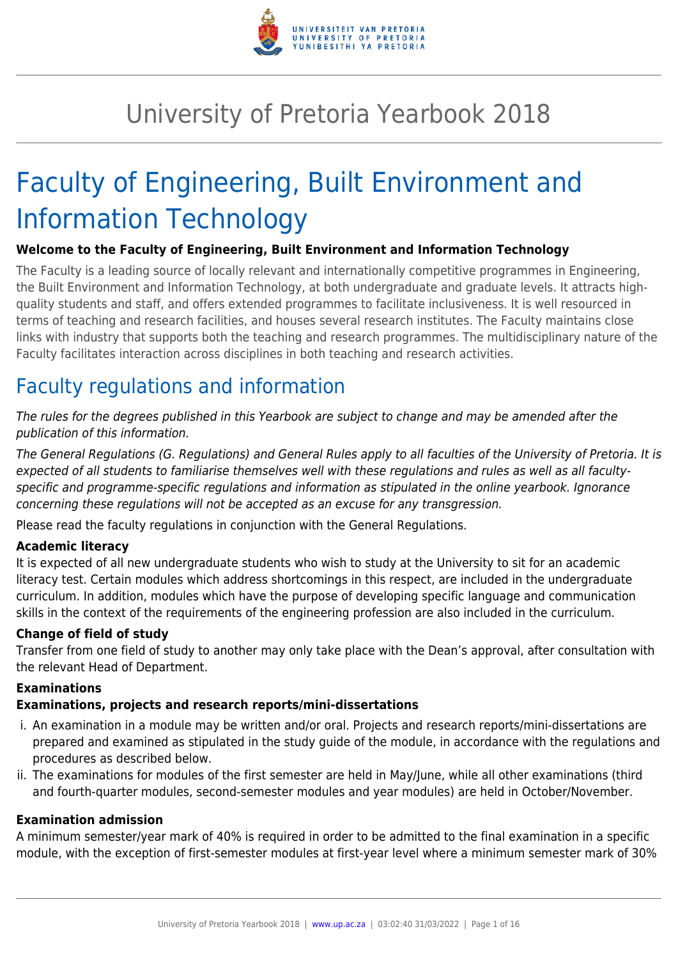

# University of Pretoria Yearbook 2018

# Faculty of Engineering, Built Environment and Information Technology

#### **Welcome to the Faculty of Engineering, Built Environment and Information Technology**

The Faculty is a leading source of locally relevant and internationally competitive programmes in Engineering, the Built Environment and Information Technology, at both undergraduate and graduate levels. It attracts highquality students and staff, and offers extended programmes to facilitate inclusiveness. It is well resourced in terms of teaching and research facilities, and houses several research institutes. The Faculty maintains close links with industry that supports both the teaching and research programmes. The multidisciplinary nature of the Faculty facilitates interaction across disciplines in both teaching and research activities.

# Faculty regulations and information

The rules for the degrees published in this Yearbook are subject to change and may be amended after the publication of this information.

The General Regulations (G. Regulations) and General Rules apply to all faculties of the University of Pretoria. It is expected of all students to familiarise themselves well with these regulations and rules as well as all facultyspecific and programme-specific regulations and information as stipulated in the online yearbook. Ignorance concerning these regulations will not be accepted as an excuse for any transgression.

Please read the faculty regulations in conjunction with the General Regulations.

#### **Academic literacy**

It is expected of all new undergraduate students who wish to study at the University to sit for an academic literacy test. Certain modules which address shortcomings in this respect, are included in the undergraduate curriculum. In addition, modules which have the purpose of developing specific language and communication skills in the context of the requirements of the engineering profession are also included in the curriculum.

#### **Change of field of study**

Transfer from one field of study to another may only take place with the Dean's approval, after consultation with the relevant Head of Department.

#### **Examinations**

#### **Examinations, projects and research reports/mini-dissertations**

- i. An examination in a module may be written and/or oral. Projects and research reports/mini-dissertations are prepared and examined as stipulated in the study guide of the module, in accordance with the regulations and procedures as described below.
- ii. The examinations for modules of the first semester are held in May/June, while all other examinations (third and fourth-quarter modules, second-semester modules and year modules) are held in October/November.

#### **Examination admission**

A minimum semester/year mark of 40% is required in order to be admitted to the final examination in a specific module, with the exception of first-semester modules at first-year level where a minimum semester mark of 30%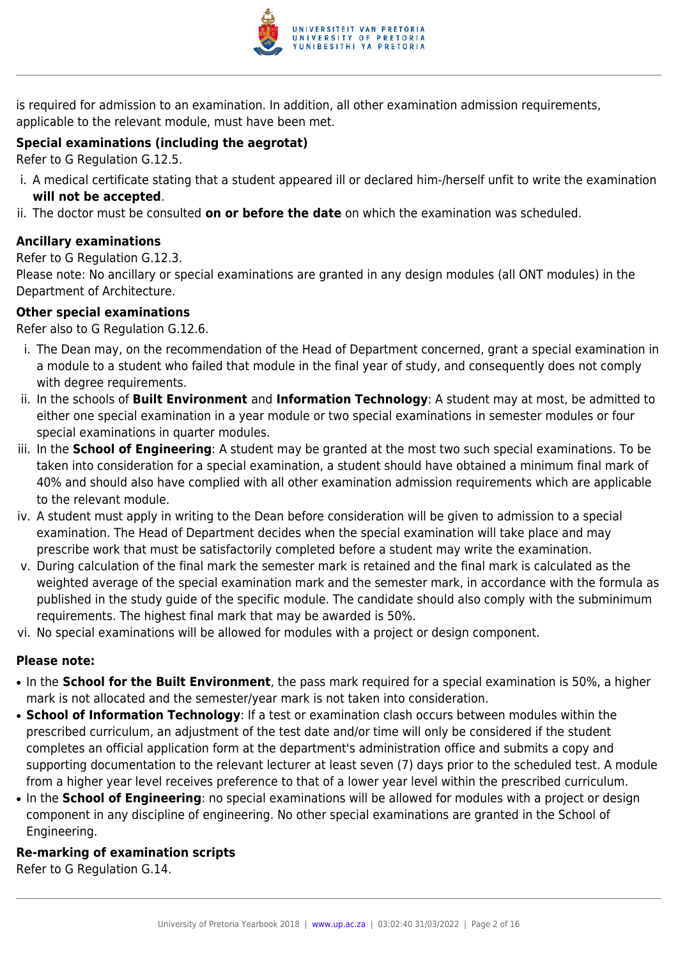

is required for admission to an examination. In addition, all other examination admission requirements, applicable to the relevant module, must have been met.

#### **Special examinations (including the aegrotat)**

Refer to G Regulation G.12.5.

- i. A medical certificate stating that a student appeared ill or declared him-/herself unfit to write the examination **will not be accepted**.
- ii. The doctor must be consulted **on or before the date** on which the examination was scheduled.

#### **Ancillary examinations**

Refer to G Regulation G.12.3.

Please note: No ancillary or special examinations are granted in any design modules (all ONT modules) in the Department of Architecture.

#### **Other special examinations**

Refer also to G Regulation G.12.6.

- i. The Dean may, on the recommendation of the Head of Department concerned, grant a special examination in a module to a student who failed that module in the final year of study, and consequently does not comply with degree requirements.
- ii. In the schools of **Built Environment** and **Information Technology**: A student may at most, be admitted to either one special examination in a year module or two special examinations in semester modules or four special examinations in quarter modules.
- iii. In the **School of Engineering**: A student may be granted at the most two such special examinations. To be taken into consideration for a special examination, a student should have obtained a minimum final mark of 40% and should also have complied with all other examination admission requirements which are applicable to the relevant module.
- iv. A student must apply in writing to the Dean before consideration will be given to admission to a special examination. The Head of Department decides when the special examination will take place and may prescribe work that must be satisfactorily completed before a student may write the examination.
- v. During calculation of the final mark the semester mark is retained and the final mark is calculated as the weighted average of the special examination mark and the semester mark, in accordance with the formula as published in the study guide of the specific module. The candidate should also comply with the subminimum requirements. The highest final mark that may be awarded is 50%.
- vi. No special examinations will be allowed for modules with a project or design component.

#### **Please note:**

- In the **School for the Built Environment**, the pass mark required for a special examination is 50%, a higher mark is not allocated and the semester/year mark is not taken into consideration.
- **School of Information Technology**: If a test or examination clash occurs between modules within the prescribed curriculum, an adjustment of the test date and/or time will only be considered if the student completes an official application form at the department's administration office and submits a copy and supporting documentation to the relevant lecturer at least seven (7) days prior to the scheduled test. A module from a higher year level receives preference to that of a lower year level within the prescribed curriculum.
- In the **School of Engineering**: no special examinations will be allowed for modules with a project or design component in any discipline of engineering. No other special examinations are granted in the School of Engineering.

#### **Re-marking of examination scripts**

Refer to G Regulation G.14.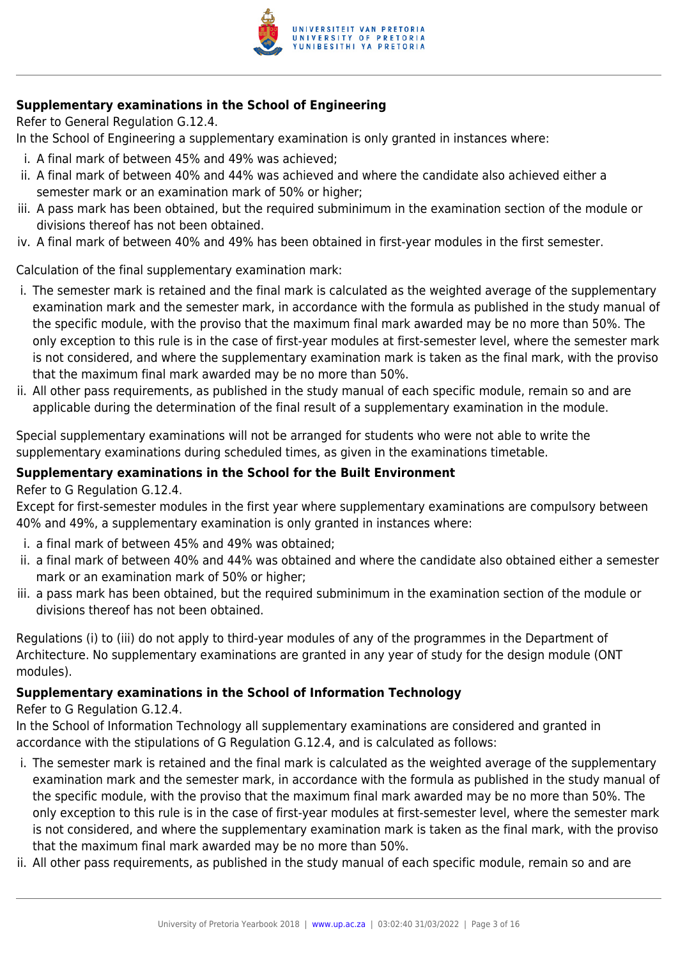

#### **Supplementary examinations in the School of Engineering**

Refer to General Regulation G.12.4.

In the School of Engineering a supplementary examination is only granted in instances where:

- i. A final mark of between 45% and 49% was achieved;
- ii. A final mark of between 40% and 44% was achieved and where the candidate also achieved either a semester mark or an examination mark of 50% or higher;
- iii. A pass mark has been obtained, but the required subminimum in the examination section of the module or divisions thereof has not been obtained.
- iv. A final mark of between 40% and 49% has been obtained in first-year modules in the first semester.

Calculation of the final supplementary examination mark:

- i. The semester mark is retained and the final mark is calculated as the weighted average of the supplementary examination mark and the semester mark, in accordance with the formula as published in the study manual of the specific module, with the proviso that the maximum final mark awarded may be no more than 50%. The only exception to this rule is in the case of first-year modules at first-semester level, where the semester mark is not considered, and where the supplementary examination mark is taken as the final mark, with the proviso that the maximum final mark awarded may be no more than 50%.
- ii. All other pass requirements, as published in the study manual of each specific module, remain so and are applicable during the determination of the final result of a supplementary examination in the module.

Special supplementary examinations will not be arranged for students who were not able to write the supplementary examinations during scheduled times, as given in the examinations timetable.

#### **Supplementary examinations in the School for the Built Environment**

Refer to G Regulation G.12.4.

Except for first-semester modules in the first year where supplementary examinations are compulsory between 40% and 49%, a supplementary examination is only granted in instances where:

- i. a final mark of between 45% and 49% was obtained;
- ii. a final mark of between 40% and 44% was obtained and where the candidate also obtained either a semester mark or an examination mark of 50% or higher;
- iii. a pass mark has been obtained, but the required subminimum in the examination section of the module or divisions thereof has not been obtained.

Regulations (i) to (iii) do not apply to third-year modules of any of the programmes in the Department of Architecture. No supplementary examinations are granted in any year of study for the design module (ONT modules).

#### **Supplementary examinations in the School of Information Technology**

Refer to G Regulation G.12.4.

In the School of Information Technology all supplementary examinations are considered and granted in accordance with the stipulations of G Regulation G.12.4, and is calculated as follows:

- i. The semester mark is retained and the final mark is calculated as the weighted average of the supplementary examination mark and the semester mark, in accordance with the formula as published in the study manual of the specific module, with the proviso that the maximum final mark awarded may be no more than 50%. The only exception to this rule is in the case of first-year modules at first-semester level, where the semester mark is not considered, and where the supplementary examination mark is taken as the final mark, with the proviso that the maximum final mark awarded may be no more than 50%.
- ii. All other pass requirements, as published in the study manual of each specific module, remain so and are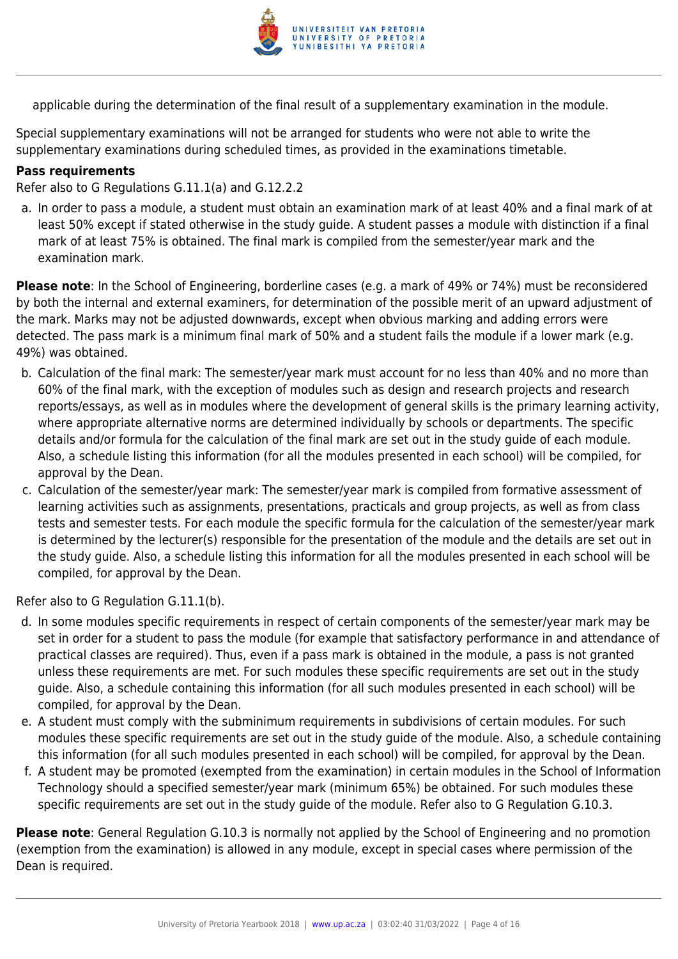

applicable during the determination of the final result of a supplementary examination in the module.

Special supplementary examinations will not be arranged for students who were not able to write the supplementary examinations during scheduled times, as provided in the examinations timetable.

#### **Pass requirements**

Refer also to G Regulations G.11.1(a) and G.12.2.2

a. In order to pass a module, a student must obtain an examination mark of at least 40% and a final mark of at least 50% except if stated otherwise in the study guide. A student passes a module with distinction if a final mark of at least 75% is obtained. The final mark is compiled from the semester/year mark and the examination mark.

**Please note**: In the School of Engineering, borderline cases (e.g. a mark of 49% or 74%) must be reconsidered by both the internal and external examiners, for determination of the possible merit of an upward adjustment of the mark. Marks may not be adjusted downwards, except when obvious marking and adding errors were detected. The pass mark is a minimum final mark of 50% and a student fails the module if a lower mark (e.g. 49%) was obtained.

- b. Calculation of the final mark: The semester/year mark must account for no less than 40% and no more than 60% of the final mark, with the exception of modules such as design and research projects and research reports/essays, as well as in modules where the development of general skills is the primary learning activity, where appropriate alternative norms are determined individually by schools or departments. The specific details and/or formula for the calculation of the final mark are set out in the study guide of each module. Also, a schedule listing this information (for all the modules presented in each school) will be compiled, for approval by the Dean.
- c. Calculation of the semester/year mark: The semester/year mark is compiled from formative assessment of learning activities such as assignments, presentations, practicals and group projects, as well as from class tests and semester tests. For each module the specific formula for the calculation of the semester/year mark is determined by the lecturer(s) responsible for the presentation of the module and the details are set out in the study guide. Also, a schedule listing this information for all the modules presented in each school will be compiled, for approval by the Dean.

Refer also to G Regulation G.11.1(b).

- d. In some modules specific requirements in respect of certain components of the semester/year mark may be set in order for a student to pass the module (for example that satisfactory performance in and attendance of practical classes are required). Thus, even if a pass mark is obtained in the module, a pass is not granted unless these requirements are met. For such modules these specific requirements are set out in the study guide. Also, a schedule containing this information (for all such modules presented in each school) will be compiled, for approval by the Dean.
- e. A student must comply with the subminimum requirements in subdivisions of certain modules. For such modules these specific requirements are set out in the study guide of the module. Also, a schedule containing this information (for all such modules presented in each school) will be compiled, for approval by the Dean.
- f. A student may be promoted (exempted from the examination) in certain modules in the School of Information Technology should a specified semester/year mark (minimum 65%) be obtained. For such modules these specific requirements are set out in the study guide of the module. Refer also to G Regulation G.10.3.

**Please note**: General Regulation G.10.3 is normally not applied by the School of Engineering and no promotion (exemption from the examination) is allowed in any module, except in special cases where permission of the Dean is required.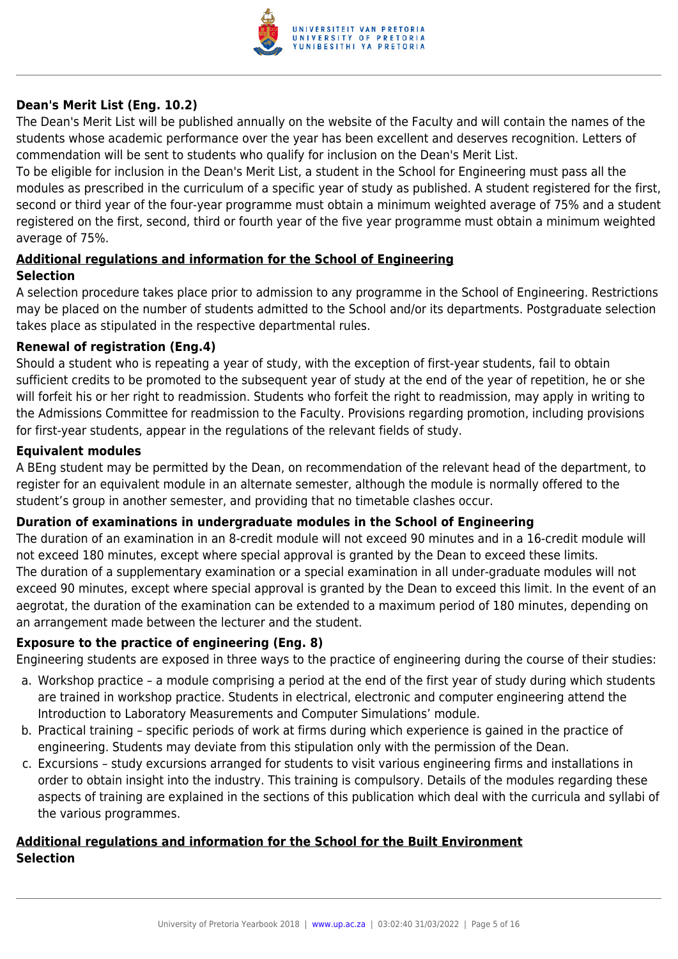

#### **Dean's Merit List (Eng. 10.2)**

The Dean's Merit List will be published annually on the website of the Faculty and will contain the names of the students whose academic performance over the year has been excellent and deserves recognition. Letters of commendation will be sent to students who qualify for inclusion on the Dean's Merit List.

To be eligible for inclusion in the Dean's Merit List, a student in the School for Engineering must pass all the modules as prescribed in the curriculum of a specific year of study as published. A student registered for the first, second or third year of the four-year programme must obtain a minimum weighted average of 75% and a student registered on the first, second, third or fourth year of the five year programme must obtain a minimum weighted average of 75%.

#### **Additional regulations and information for the School of Engineering Selection**

A selection procedure takes place prior to admission to any programme in the School of Engineering. Restrictions may be placed on the number of students admitted to the School and/or its departments. Postgraduate selection takes place as stipulated in the respective departmental rules.

#### **Renewal of registration (Eng.4)**

Should a student who is repeating a year of study, with the exception of first-year students, fail to obtain sufficient credits to be promoted to the subsequent year of study at the end of the year of repetition, he or she will forfeit his or her right to readmission. Students who forfeit the right to readmission, may apply in writing to the Admissions Committee for readmission to the Faculty. Provisions regarding promotion, including provisions for first-year students, appear in the regulations of the relevant fields of study.

#### **Equivalent modules**

A BEng student may be permitted by the Dean, on recommendation of the relevant head of the department, to register for an equivalent module in an alternate semester, although the module is normally offered to the student's group in another semester, and providing that no timetable clashes occur.

#### **Duration of examinations in undergraduate modules in the School of Engineering**

The duration of an examination in an 8-credit module will not exceed 90 minutes and in a 16-credit module will not exceed 180 minutes, except where special approval is granted by the Dean to exceed these limits. The duration of a supplementary examination or a special examination in all under-graduate modules will not exceed 90 minutes, except where special approval is granted by the Dean to exceed this limit. In the event of an aegrotat, the duration of the examination can be extended to a maximum period of 180 minutes, depending on an arrangement made between the lecturer and the student.

#### **Exposure to the practice of engineering (Eng. 8)**

Engineering students are exposed in three ways to the practice of engineering during the course of their studies:

- a. Workshop practice a module comprising a period at the end of the first year of study during which students are trained in workshop practice. Students in electrical, electronic and computer engineering attend the Introduction to Laboratory Measurements and Computer Simulations' module.
- b. Practical training specific periods of work at firms during which experience is gained in the practice of engineering. Students may deviate from this stipulation only with the permission of the Dean.
- c. Excursions study excursions arranged for students to visit various engineering firms and installations in order to obtain insight into the industry. This training is compulsory. Details of the modules regarding these aspects of training are explained in the sections of this publication which deal with the curricula and syllabi of the various programmes.

#### **Additional regulations and information for the School for the Built Environment Selection**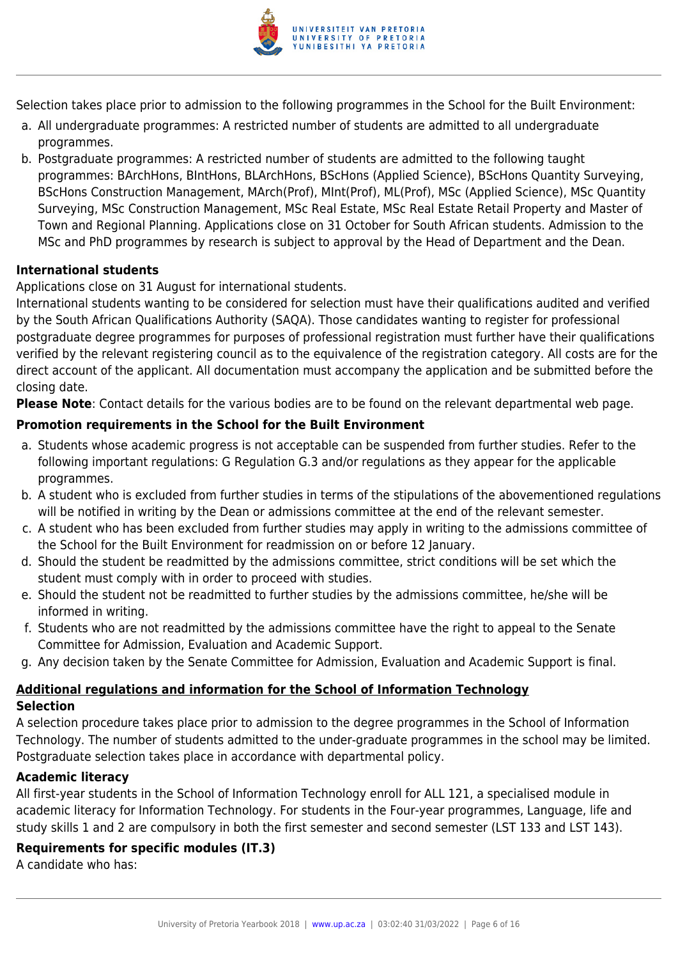

Selection takes place prior to admission to the following programmes in the School for the Built Environment:

- a. All undergraduate programmes: A restricted number of students are admitted to all undergraduate programmes.
- b. Postgraduate programmes: A restricted number of students are admitted to the following taught programmes: BArchHons, BIntHons, BLArchHons, BScHons (Applied Science), BScHons Quantity Surveying, BScHons Construction Management, MArch(Prof), MInt(Prof), ML(Prof), MSc (Applied Science), MSc Quantity Surveying, MSc Construction Management, MSc Real Estate, MSc Real Estate Retail Property and Master of Town and Regional Planning. Applications close on 31 October for South African students. Admission to the MSc and PhD programmes by research is subject to approval by the Head of Department and the Dean.

#### **International students**

#### Applications close on 31 August for international students.

International students wanting to be considered for selection must have their qualifications audited and verified by the South African Qualifications Authority (SAQA). Those candidates wanting to register for professional postgraduate degree programmes for purposes of professional registration must further have their qualifications verified by the relevant registering council as to the equivalence of the registration category. All costs are for the direct account of the applicant. All documentation must accompany the application and be submitted before the closing date.

**Please Note**: Contact details for the various bodies are to be found on the relevant departmental web page.

#### **Promotion requirements in the School for the Built Environment**

- a. Students whose academic progress is not acceptable can be suspended from further studies. Refer to the following important regulations: G Regulation G.3 and/or regulations as they appear for the applicable programmes.
- b. A student who is excluded from further studies in terms of the stipulations of the abovementioned regulations will be notified in writing by the Dean or admissions committee at the end of the relevant semester.
- c. A student who has been excluded from further studies may apply in writing to the admissions committee of the School for the Built Environment for readmission on or before 12 January.
- d. Should the student be readmitted by the admissions committee, strict conditions will be set which the student must comply with in order to proceed with studies.
- e. Should the student not be readmitted to further studies by the admissions committee, he/she will be informed in writing.
- f. Students who are not readmitted by the admissions committee have the right to appeal to the Senate Committee for Admission, Evaluation and Academic Support.
- g. Any decision taken by the Senate Committee for Admission, Evaluation and Academic Support is final.

#### **Additional regulations and information for the School of Information Technology Selection**

A selection procedure takes place prior to admission to the degree programmes in the School of Information Technology. The number of students admitted to the under-graduate programmes in the school may be limited. Postgraduate selection takes place in accordance with departmental policy.

#### **Academic literacy**

All first-year students in the School of Information Technology enroll for ALL 121, a specialised module in academic literacy for Information Technology. For students in the Four-year programmes, Language, life and study skills 1 and 2 are compulsory in both the first semester and second semester (LST 133 and LST 143).

#### **Requirements for specific modules (IT.3)**

A candidate who has: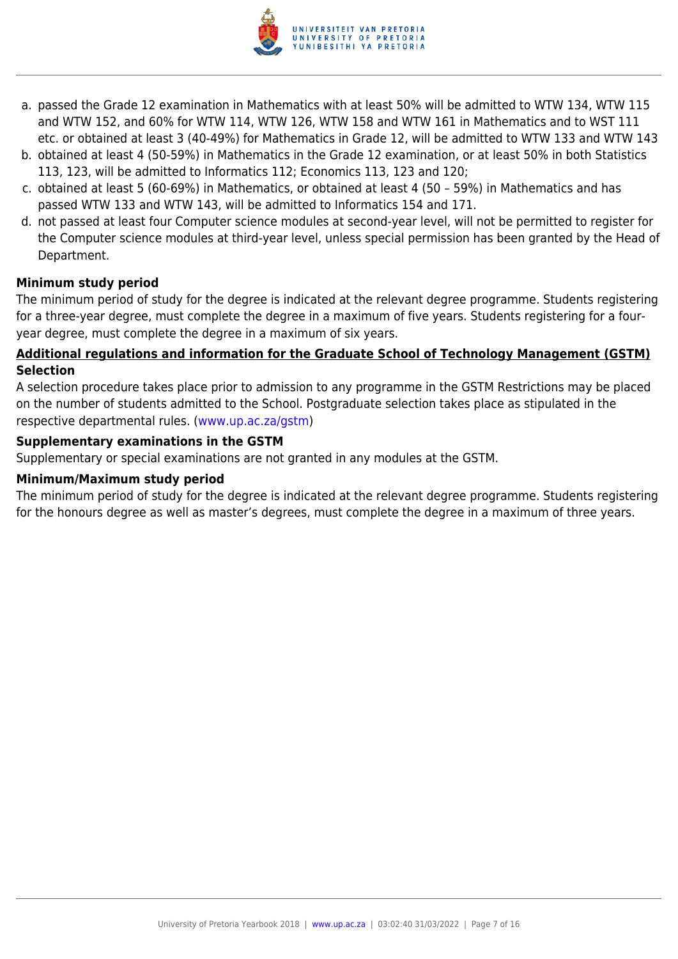

- a. passed the Grade 12 examination in Mathematics with at least 50% will be admitted to WTW 134, WTW 115 and WTW 152, and 60% for WTW 114, WTW 126, WTW 158 and WTW 161 in Mathematics and to WST 111 etc. or obtained at least 3 (40-49%) for Mathematics in Grade 12, will be admitted to WTW 133 and WTW 143
- b. obtained at least 4 (50-59%) in Mathematics in the Grade 12 examination, or at least 50% in both Statistics 113, 123, will be admitted to Informatics 112; Economics 113, 123 and 120;
- c. obtained at least 5 (60-69%) in Mathematics, or obtained at least 4 (50 59%) in Mathematics and has passed WTW 133 and WTW 143, will be admitted to Informatics 154 and 171.
- d. not passed at least four Computer science modules at second-year level, will not be permitted to register for the Computer science modules at third-year level, unless special permission has been granted by the Head of Department.

#### **Minimum study period**

The minimum period of study for the degree is indicated at the relevant degree programme. Students registering for a three-year degree, must complete the degree in a maximum of five years. Students registering for a fouryear degree, must complete the degree in a maximum of six years.

#### **Additional regulations and information for the Graduate School of Technology Management (GSTM) Selection**

A selection procedure takes place prior to admission to any programme in the GSTM Restrictions may be placed on the number of students admitted to the School. Postgraduate selection takes place as stipulated in the respective departmental rules. [\(www.up.ac.za/gstm](http://www.up.ac.za/gstm))

#### **Supplementary examinations in the GSTM**

Supplementary or special examinations are not granted in any modules at the GSTM.

#### **Minimum/Maximum study period**

The minimum period of study for the degree is indicated at the relevant degree programme. Students registering for the honours degree as well as master's degrees, must complete the degree in a maximum of three years.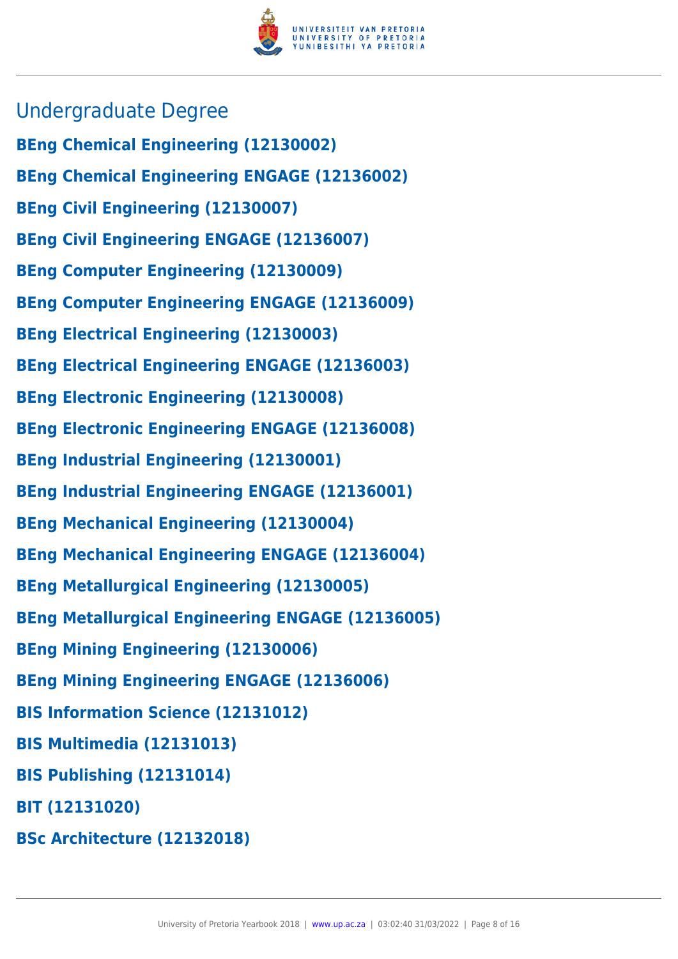

- Undergraduate Degree
- **BEng Chemical Engineering (12130002)**
- **BEng Chemical Engineering ENGAGE (12136002)**
- **BEng Civil Engineering (12130007)**
- **BEng Civil Engineering ENGAGE (12136007)**
- **BEng Computer Engineering (12130009)**
- **BEng Computer Engineering ENGAGE (12136009)**
- **BEng Electrical Engineering (12130003)**
- **BEng Electrical Engineering ENGAGE (12136003)**
- **BEng Electronic Engineering (12130008)**
- **BEng Electronic Engineering ENGAGE (12136008)**
- **BEng Industrial Engineering (12130001)**
- **BEng Industrial Engineering ENGAGE (12136001)**
- **BEng Mechanical Engineering (12130004)**
- **BEng Mechanical Engineering ENGAGE (12136004)**
- **BEng Metallurgical Engineering (12130005)**
- **BEng Metallurgical Engineering ENGAGE (12136005)**
- **BEng Mining Engineering (12130006)**
- **BEng Mining Engineering ENGAGE (12136006)**
- **BIS Information Science (12131012)**
- **BIS Multimedia (12131013)**
- **BIS Publishing (12131014)**
- **BIT (12131020)**
- **BSc Architecture (12132018)**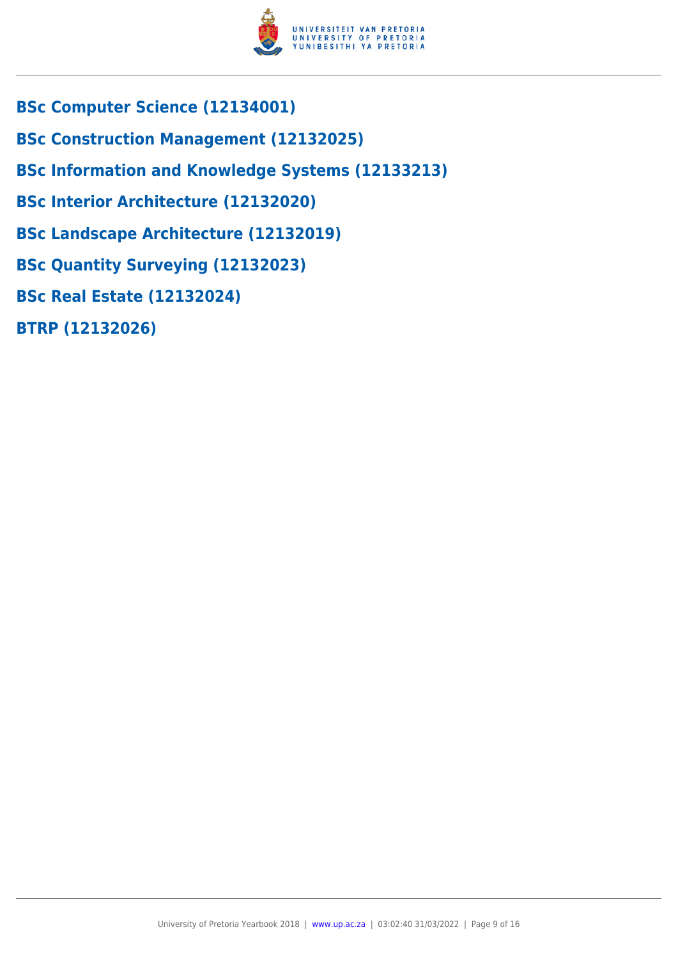

- **BSc Computer Science (12134001)**
- **BSc Construction Management (12132025)**
- **BSc Information and Knowledge Systems (12133213)**
- **BSc Interior Architecture (12132020)**
- **BSc Landscape Architecture (12132019)**
- **BSc Quantity Surveying (12132023)**
- **BSc Real Estate (12132024)**
- **BTRP (12132026)**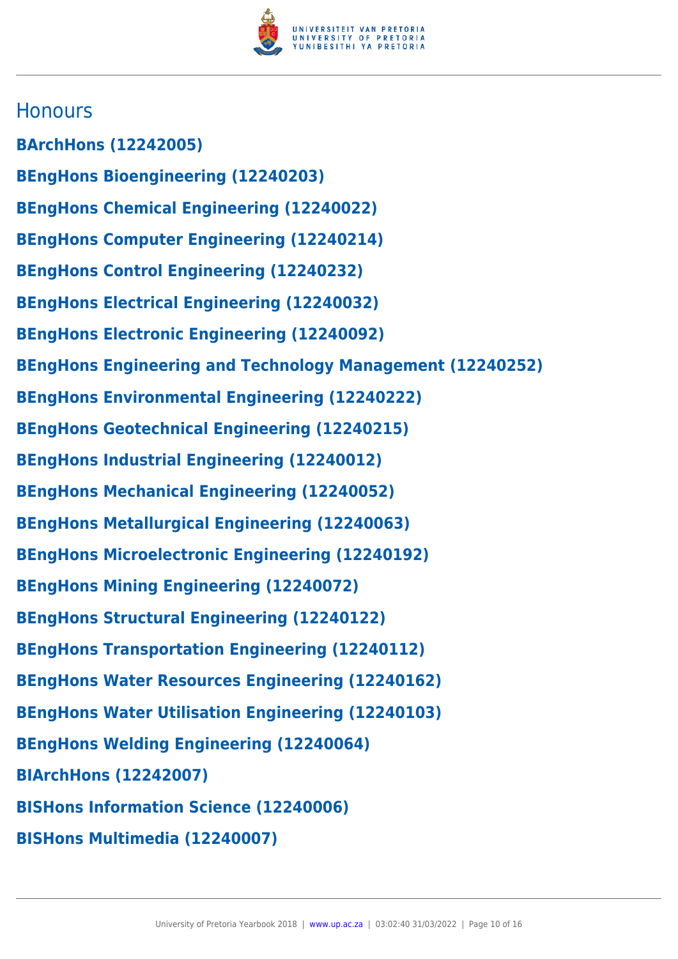

### **Honours**

**BArchHons (12242005) BEngHons Bioengineering (12240203) BEngHons Chemical Engineering (12240022) BEngHons Computer Engineering (12240214) BEngHons Control Engineering (12240232) BEngHons Electrical Engineering (12240032) BEngHons Electronic Engineering (12240092) BEngHons Engineering and Technology Management (12240252) BEngHons Environmental Engineering (12240222) BEngHons Geotechnical Engineering (12240215) BEngHons Industrial Engineering (12240012) BEngHons Mechanical Engineering (12240052) BEngHons Metallurgical Engineering (12240063) BEngHons Microelectronic Engineering (12240192) BEngHons Mining Engineering (12240072) BEngHons Structural Engineering (12240122) BEngHons Transportation Engineering (12240112) BEngHons Water Resources Engineering (12240162) BEngHons Water Utilisation Engineering (12240103) BEngHons Welding Engineering (12240064) BIArchHons (12242007) BISHons Information Science (12240006) BISHons Multimedia (12240007)**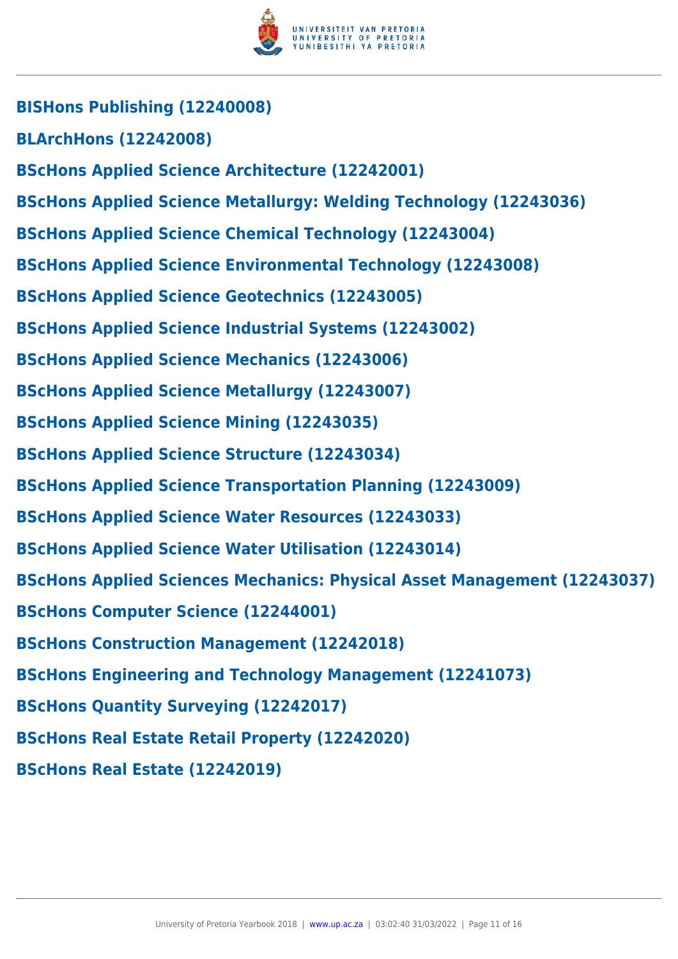

**BISHons Publishing (12240008) BLArchHons (12242008) BScHons Applied Science Architecture (12242001) BScHons Applied Science Metallurgy: Welding Technology (12243036) BScHons Applied Science Chemical Technology (12243004) BScHons Applied Science Environmental Technology (12243008) BScHons Applied Science Geotechnics (12243005) BScHons Applied Science Industrial Systems (12243002) BScHons Applied Science Mechanics (12243006) BScHons Applied Science Metallurgy (12243007) BScHons Applied Science Mining (12243035) BScHons Applied Science Structure (12243034) BScHons Applied Science Transportation Planning (12243009) BScHons Applied Science Water Resources (12243033) BScHons Applied Science Water Utilisation (12243014) BScHons Applied Sciences Mechanics: Physical Asset Management (12243037) BScHons Computer Science (12244001) BScHons Construction Management (12242018) BScHons Engineering and Technology Management (12241073) BScHons Quantity Surveying (12242017) BScHons Real Estate Retail Property (12242020) BScHons Real Estate (12242019)**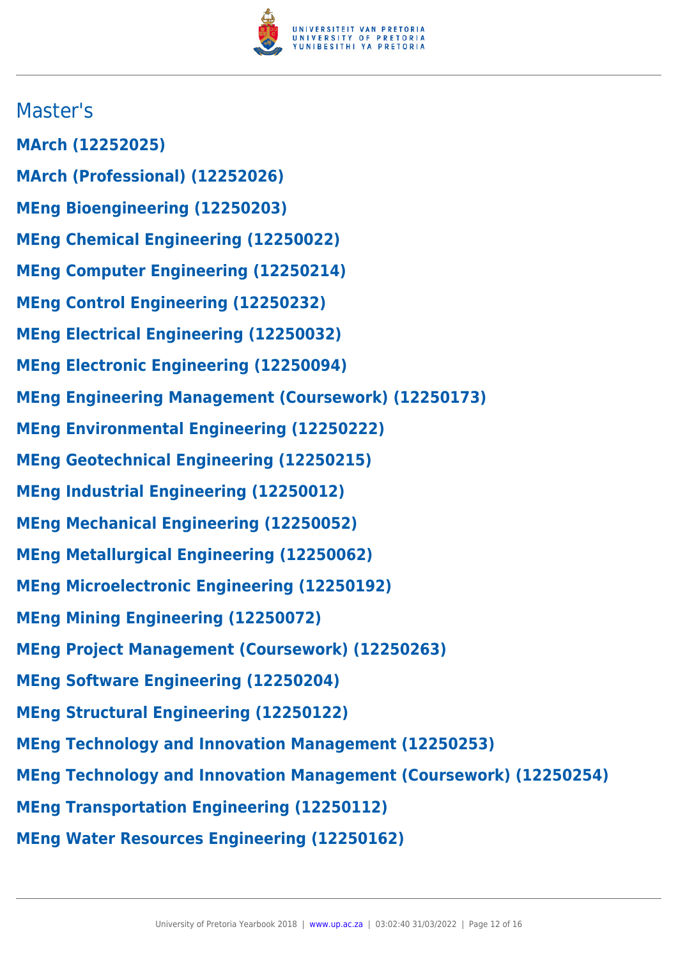

## Master's

- **MArch (12252025)**
- **MArch (Professional) (12252026)**
- **MEng Bioengineering (12250203)**
- **MEng Chemical Engineering (12250022)**
- **MEng Computer Engineering (12250214)**
- **MEng Control Engineering (12250232)**
- **MEng Electrical Engineering (12250032)**
- **MEng Electronic Engineering (12250094)**
- **MEng Engineering Management (Coursework) (12250173)**
- **MEng Environmental Engineering (12250222)**
- **MEng Geotechnical Engineering (12250215)**
- **MEng Industrial Engineering (12250012)**
- **MEng Mechanical Engineering (12250052)**
- **MEng Metallurgical Engineering (12250062)**
- **MEng Microelectronic Engineering (12250192)**
- **MEng Mining Engineering (12250072)**
- **MEng Project Management (Coursework) (12250263)**
- **MEng Software Engineering (12250204)**
- **MEng Structural Engineering (12250122)**
- **MEng Technology and Innovation Management (12250253)**
- **MEng Technology and Innovation Management (Coursework) (12250254)**
- **MEng Transportation Engineering (12250112)**
- **MEng Water Resources Engineering (12250162)**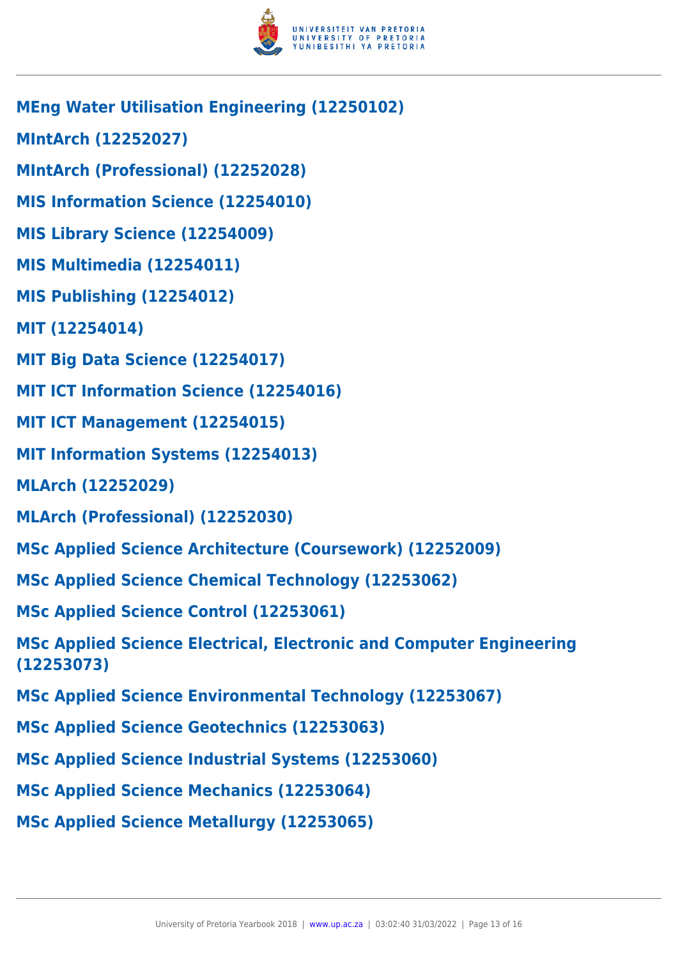

- **MEng Water Utilisation Engineering (12250102)**
- **MIntArch (12252027)**
- **MIntArch (Professional) (12252028)**
- **MIS Information Science (12254010)**
- **MIS Library Science (12254009)**
- **MIS Multimedia (12254011)**
- **MIS Publishing (12254012)**
- **MIT (12254014)**
- **MIT Big Data Science (12254017)**
- **MIT ICT Information Science (12254016)**
- **MIT ICT Management (12254015)**
- **MIT Information Systems (12254013)**
- **MLArch (12252029)**
- **MLArch (Professional) (12252030)**
- **MSc Applied Science Architecture (Coursework) (12252009)**
- **MSc Applied Science Chemical Technology (12253062)**
- **MSc Applied Science Control (12253061)**
- **MSc Applied Science Electrical, Electronic and Computer Engineering (12253073)**
- **MSc Applied Science Environmental Technology (12253067)**
- **MSc Applied Science Geotechnics (12253063)**
- **MSc Applied Science Industrial Systems (12253060)**
- **MSc Applied Science Mechanics (12253064)**
- **MSc Applied Science Metallurgy (12253065)**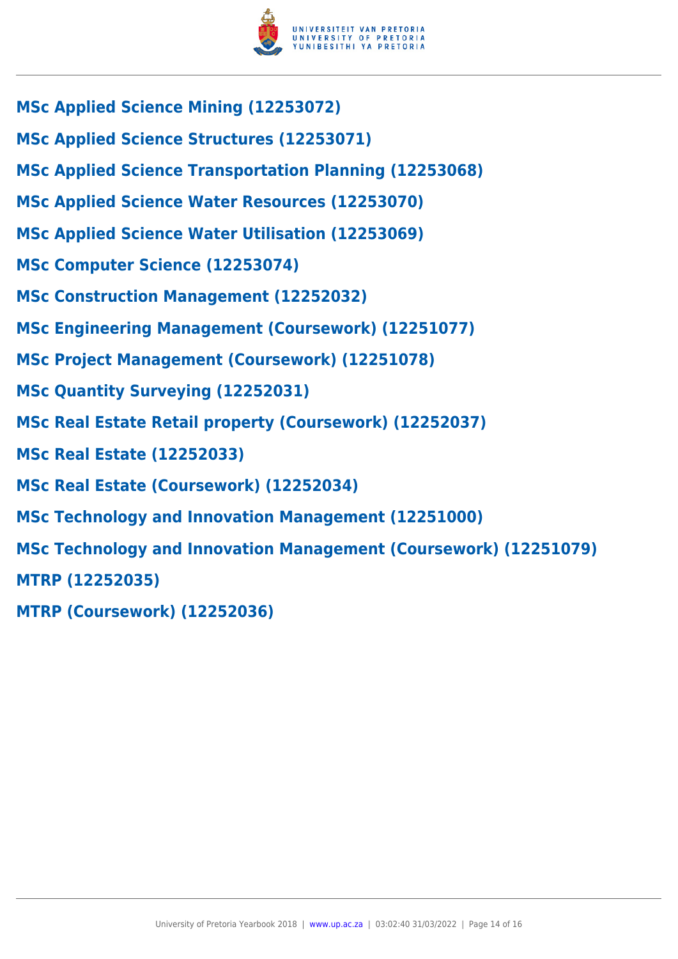

- **MSc Applied Science Mining (12253072)**
- **MSc Applied Science Structures (12253071)**
- **MSc Applied Science Transportation Planning (12253068)**
- **MSc Applied Science Water Resources (12253070)**
- **MSc Applied Science Water Utilisation (12253069)**
- **MSc Computer Science (12253074)**
- **MSc Construction Management (12252032)**
- **MSc Engineering Management (Coursework) (12251077)**
- **MSc Project Management (Coursework) (12251078)**
- **MSc Quantity Surveying (12252031)**
- **MSc Real Estate Retail property (Coursework) (12252037)**
- **MSc Real Estate (12252033)**
- **MSc Real Estate (Coursework) (12252034)**
- **MSc Technology and Innovation Management (12251000)**
- **MSc Technology and Innovation Management (Coursework) (12251079)**
- **MTRP (12252035)**
- **MTRP (Coursework) (12252036)**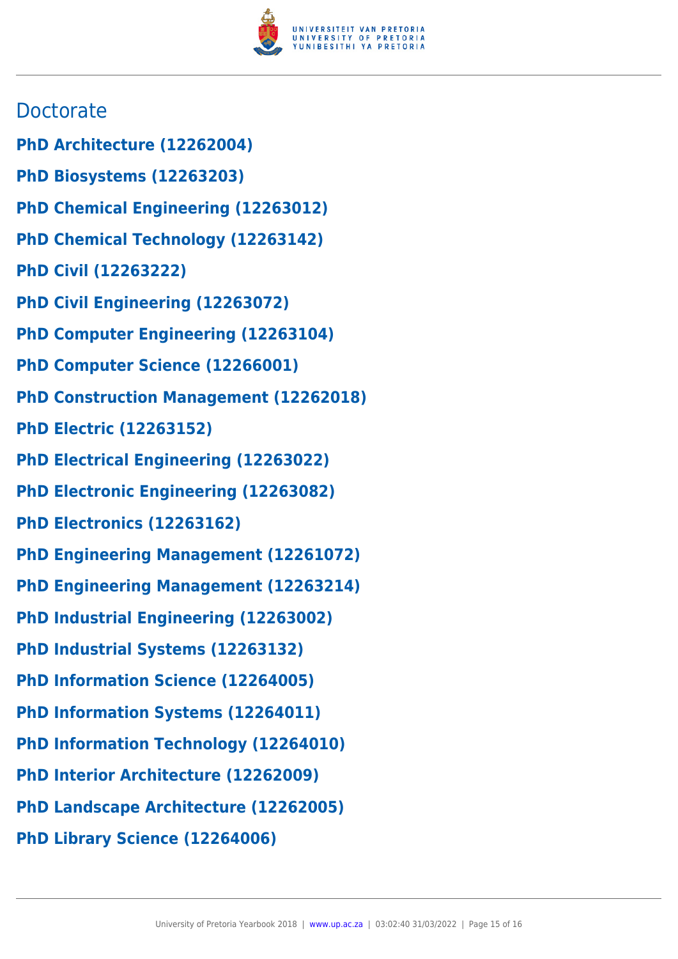

## **Doctorate**

- **PhD Architecture (12262004)**
- **PhD Biosystems (12263203)**
- **PhD Chemical Engineering (12263012)**
- **PhD Chemical Technology (12263142)**
- **PhD Civil (12263222)**
- **PhD Civil Engineering (12263072)**
- **PhD Computer Engineering (12263104)**
- **PhD Computer Science (12266001)**
- **PhD Construction Management (12262018)**
- **PhD Electric (12263152)**
- **PhD Electrical Engineering (12263022)**
- **PhD Electronic Engineering (12263082)**
- **PhD Electronics (12263162)**
- **PhD Engineering Management (12261072)**
- **PhD Engineering Management (12263214)**
- **PhD Industrial Engineering (12263002)**
- **PhD Industrial Systems (12263132)**
- **PhD Information Science (12264005)**
- **PhD Information Systems (12264011)**
- **PhD Information Technology (12264010)**
- **PhD Interior Architecture (12262009)**
- **PhD Landscape Architecture (12262005)**
- **PhD Library Science (12264006)**